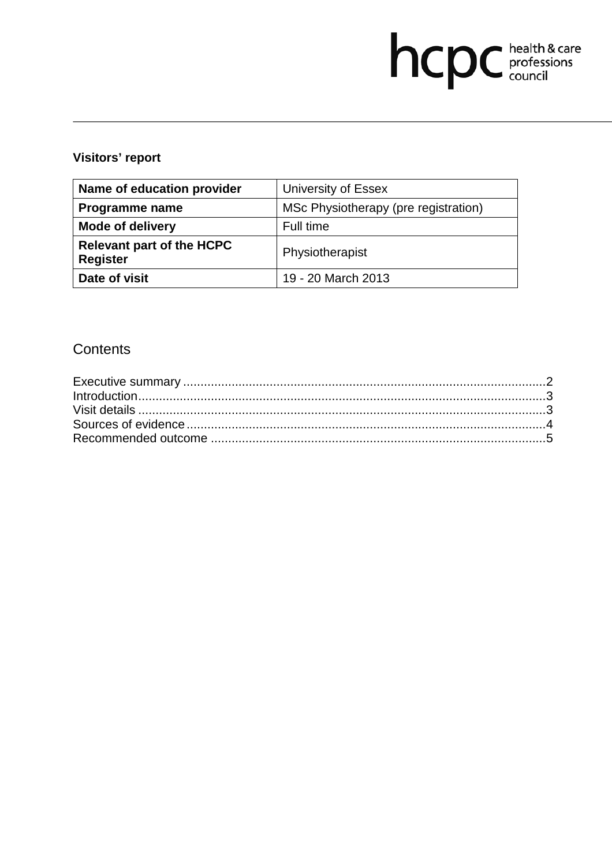# hcpc health & care

## **Visitors' report**

| Name of education provider                          | University of Essex                  |
|-----------------------------------------------------|--------------------------------------|
| <b>Programme name</b>                               | MSc Physiotherapy (pre registration) |
| <b>Mode of delivery</b>                             | Full time                            |
| <b>Relevant part of the HCPC</b><br><b>Register</b> | Physiotherapist                      |
| Date of visit                                       | 19 - 20 March 2013                   |

## **Contents**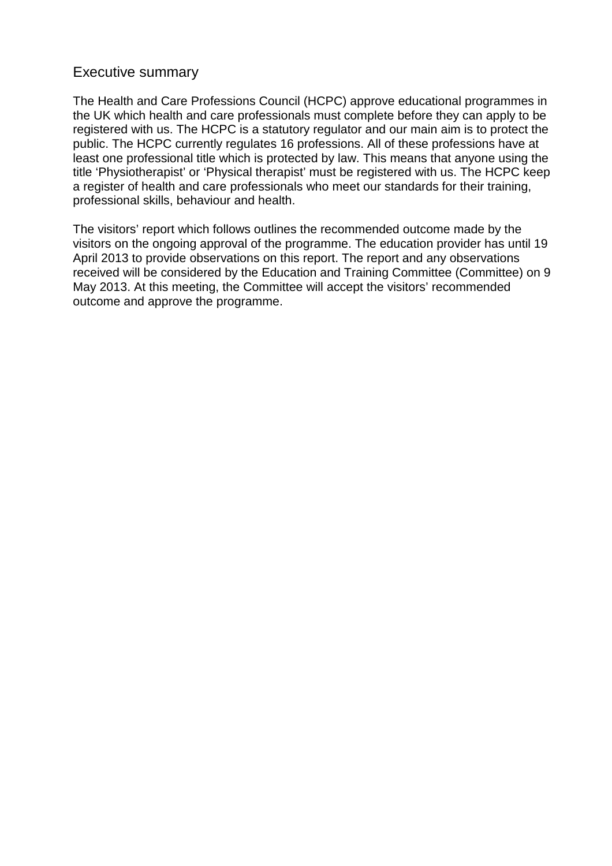### Executive summary

The Health and Care Professions Council (HCPC) approve educational programmes in the UK which health and care professionals must complete before they can apply to be registered with us. The HCPC is a statutory regulator and our main aim is to protect the public. The HCPC currently regulates 16 professions. All of these professions have at least one professional title which is protected by law. This means that anyone using the title 'Physiotherapist' or 'Physical therapist' must be registered with us. The HCPC keep a register of health and care professionals who meet our standards for their training, professional skills, behaviour and health.

The visitors' report which follows outlines the recommended outcome made by the visitors on the ongoing approval of the programme. The education provider has until 19 April 2013 to provide observations on this report. The report and any observations received will be considered by the Education and Training Committee (Committee) on 9 May 2013. At this meeting, the Committee will accept the visitors' recommended outcome and approve the programme.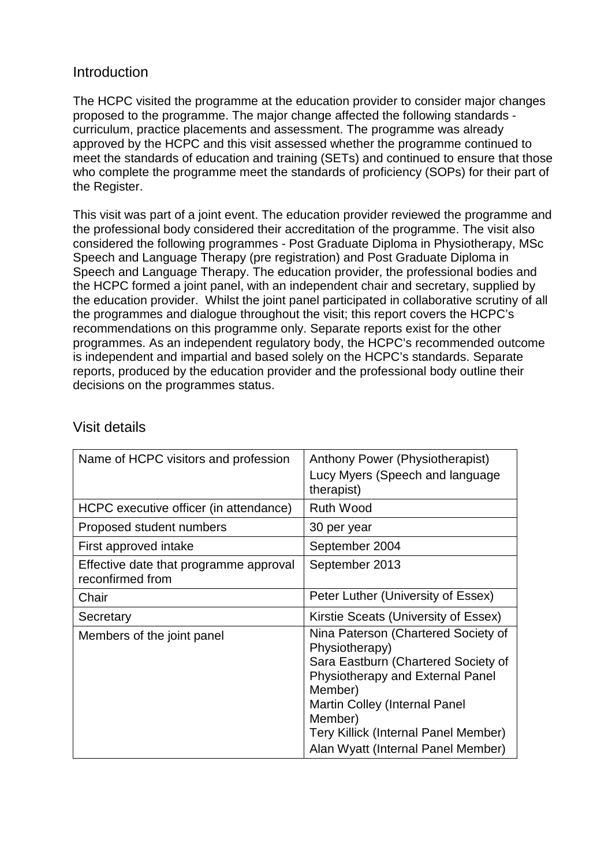### **Introduction**

The HCPC visited the programme at the education provider to consider major changes proposed to the programme. The major change affected the following standards curriculum, practice placements and assessment. The programme was already approved by the HCPC and this visit assessed whether the programme continued to meet the standards of education and training (SETs) and continued to ensure that those who complete the programme meet the standards of proficiency (SOPs) for their part of the Register.

This visit was part of a joint event. The education provider reviewed the programme and the professional body considered their accreditation of the programme. The visit also considered the following programmes - Post Graduate Diploma in Physiotherapy, MSc Speech and Language Therapy (pre registration) and Post Graduate Diploma in Speech and Language Therapy. The education provider, the professional bodies and the HCPC formed a joint panel, with an independent chair and secretary, supplied by the education provider. Whilst the joint panel participated in collaborative scrutiny of all the programmes and dialogue throughout the visit; this report covers the HCPC's recommendations on this programme only. Separate reports exist for the other programmes. As an independent regulatory body, the HCPC's recommended outcome is independent and impartial and based solely on the HCPC's standards. Separate reports, produced by the education provider and the professional body outline their decisions on the programmes status.

| Name of HCPC visitors and profession                       | Anthony Power (Physiotherapist)<br>Lucy Myers (Speech and language<br>therapist)                                                                                                                                                                                             |
|------------------------------------------------------------|------------------------------------------------------------------------------------------------------------------------------------------------------------------------------------------------------------------------------------------------------------------------------|
| HCPC executive officer (in attendance)                     | <b>Ruth Wood</b>                                                                                                                                                                                                                                                             |
| Proposed student numbers                                   | 30 per year                                                                                                                                                                                                                                                                  |
| First approved intake                                      | September 2004                                                                                                                                                                                                                                                               |
| Effective date that programme approval<br>reconfirmed from | September 2013                                                                                                                                                                                                                                                               |
| Chair                                                      | Peter Luther (University of Essex)                                                                                                                                                                                                                                           |
| Secretary                                                  | Kirstie Sceats (University of Essex)                                                                                                                                                                                                                                         |
| Members of the joint panel                                 | Nina Paterson (Chartered Society of<br>Physiotherapy)<br>Sara Eastburn (Chartered Society of<br>Physiotherapy and External Panel<br>Member)<br><b>Martin Colley (Internal Panel</b><br>Member)<br>Tery Killick (Internal Panel Member)<br>Alan Wyatt (Internal Panel Member) |

### Visit details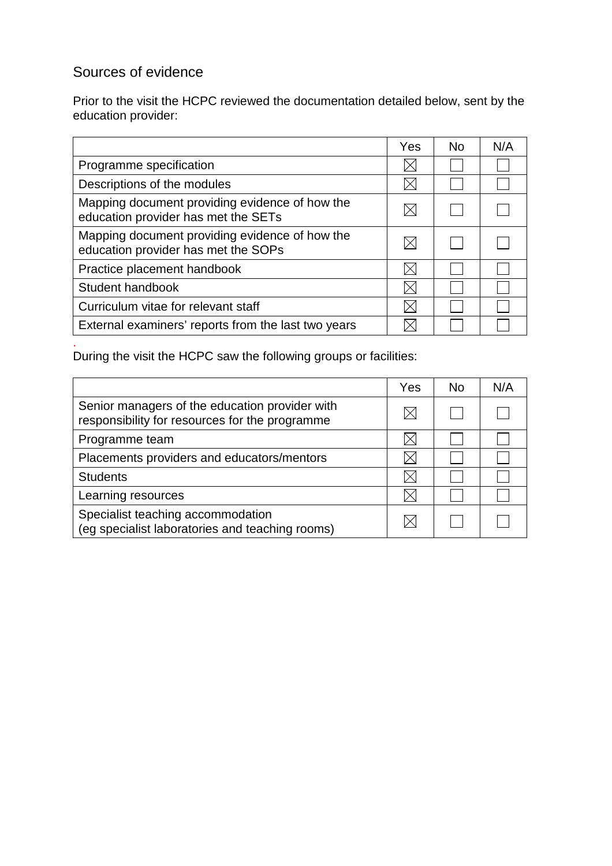# Sources of evidence

Prior to the visit the HCPC reviewed the documentation detailed below, sent by the education provider:

|                                                                                       | Yes | No. | N/A |
|---------------------------------------------------------------------------------------|-----|-----|-----|
| Programme specification                                                               |     |     |     |
| Descriptions of the modules                                                           |     |     |     |
| Mapping document providing evidence of how the<br>education provider has met the SETs |     |     |     |
| Mapping document providing evidence of how the<br>education provider has met the SOPs |     |     |     |
| Practice placement handbook                                                           |     |     |     |
| Student handbook                                                                      |     |     |     |
| Curriculum vitae for relevant staff                                                   |     |     |     |
| External examiners' reports from the last two years                                   |     |     |     |

. During the visit the HCPC saw the following groups or facilities:

|                                                                                                  | Yes | No | N/A |
|--------------------------------------------------------------------------------------------------|-----|----|-----|
| Senior managers of the education provider with<br>responsibility for resources for the programme |     |    |     |
| Programme team                                                                                   |     |    |     |
| Placements providers and educators/mentors                                                       |     |    |     |
| <b>Students</b>                                                                                  |     |    |     |
| Learning resources                                                                               |     |    |     |
| Specialist teaching accommodation<br>(eg specialist laboratories and teaching rooms)             |     |    |     |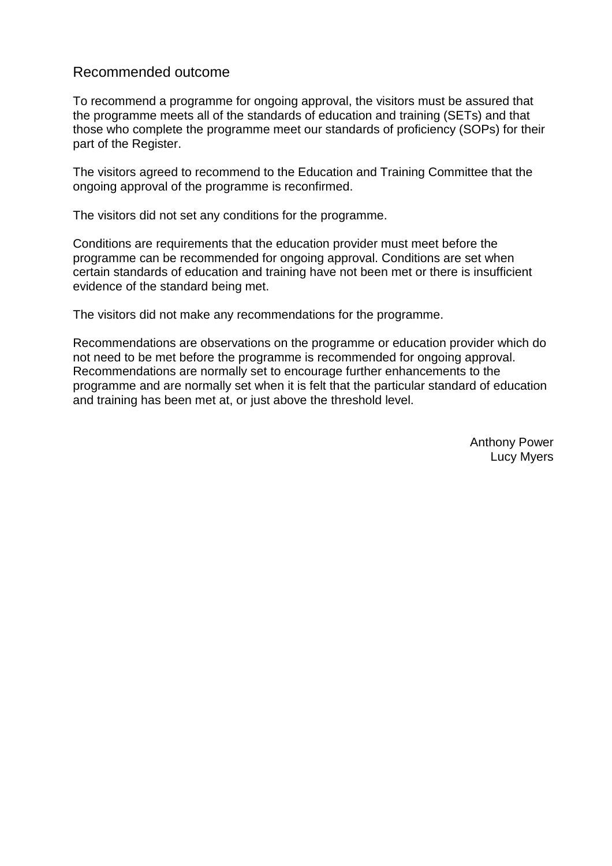### Recommended outcome

To recommend a programme for ongoing approval, the visitors must be assured that the programme meets all of the standards of education and training (SETs) and that those who complete the programme meet our standards of proficiency (SOPs) for their part of the Register.

The visitors agreed to recommend to the Education and Training Committee that the ongoing approval of the programme is reconfirmed.

The visitors did not set any conditions for the programme.

Conditions are requirements that the education provider must meet before the programme can be recommended for ongoing approval. Conditions are set when certain standards of education and training have not been met or there is insufficient evidence of the standard being met.

The visitors did not make any recommendations for the programme.

Recommendations are observations on the programme or education provider which do not need to be met before the programme is recommended for ongoing approval. Recommendations are normally set to encourage further enhancements to the programme and are normally set when it is felt that the particular standard of education and training has been met at, or just above the threshold level.

> Anthony Power Lucy Myers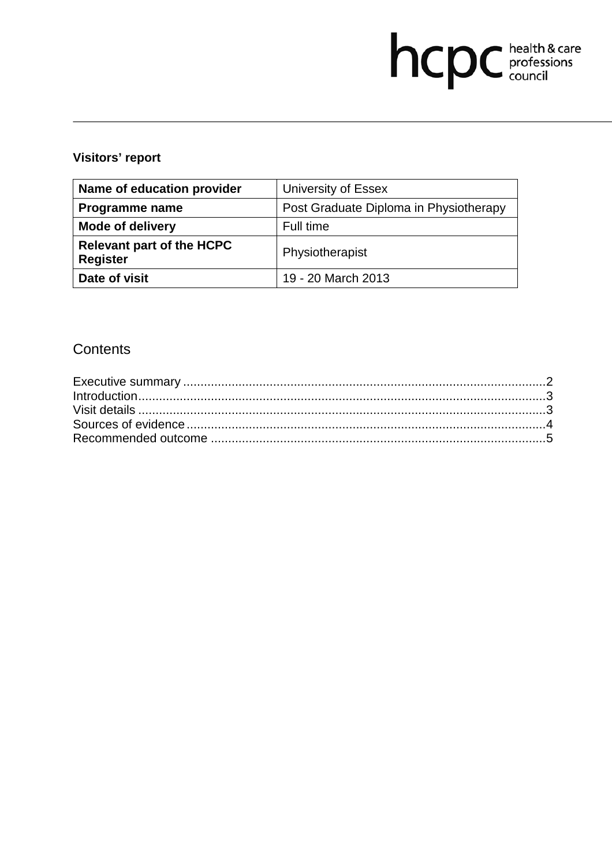# hcpc health & care

## **Visitors' report**

| Name of education provider                          | University of Essex                    |
|-----------------------------------------------------|----------------------------------------|
| <b>Programme name</b>                               | Post Graduate Diploma in Physiotherapy |
| <b>Mode of delivery</b>                             | Full time                              |
| <b>Relevant part of the HCPC</b><br><b>Register</b> | Physiotherapist                        |
| Date of visit                                       | 19 - 20 March 2013                     |

## **Contents**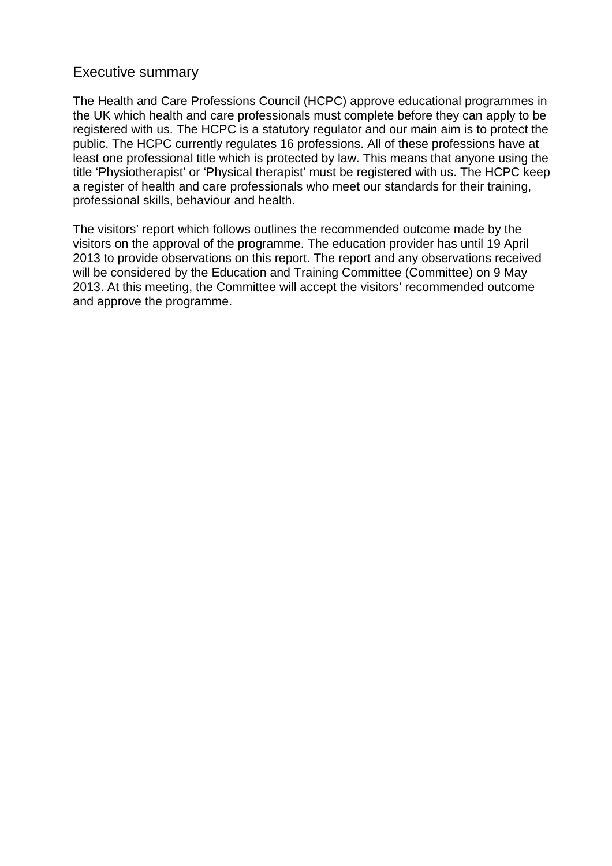### Executive summary

The Health and Care Professions Council (HCPC) approve educational programmes in the UK which health and care professionals must complete before they can apply to be registered with us. The HCPC is a statutory regulator and our main aim is to protect the public. The HCPC currently regulates 16 professions. All of these professions have at least one professional title which is protected by law. This means that anyone using the title 'Physiotherapist' or 'Physical therapist' must be registered with us. The HCPC keep a register of health and care professionals who meet our standards for their training, professional skills, behaviour and health.

The visitors' report which follows outlines the recommended outcome made by the visitors on the approval of the programme. The education provider has until 19 April 2013 to provide observations on this report. The report and any observations received will be considered by the Education and Training Committee (Committee) on 9 May 2013. At this meeting, the Committee will accept the visitors' recommended outcome and approve the programme.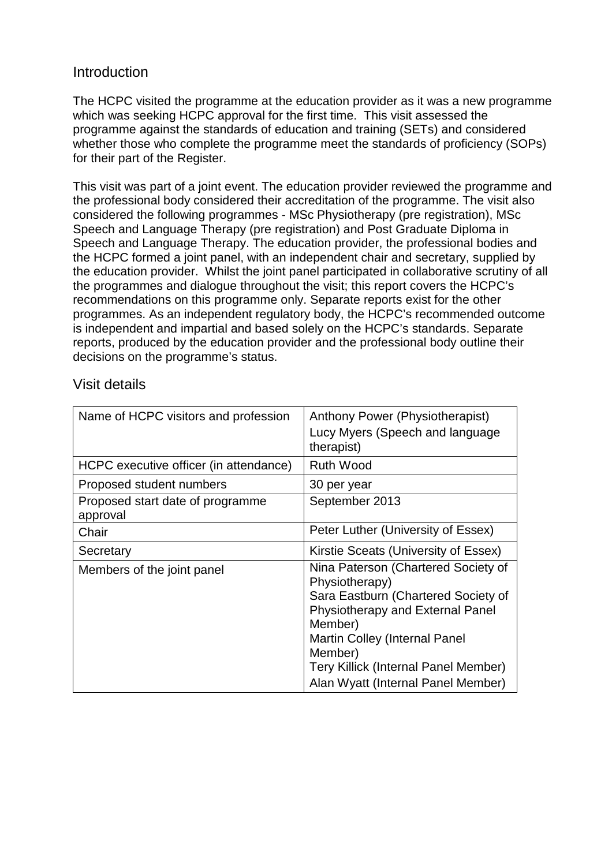### **Introduction**

The HCPC visited the programme at the education provider as it was a new programme which was seeking HCPC approval for the first time. This visit assessed the programme against the standards of education and training (SETs) and considered whether those who complete the programme meet the standards of proficiency (SOPs) for their part of the Register.

This visit was part of a joint event. The education provider reviewed the programme and the professional body considered their accreditation of the programme. The visit also considered the following programmes - MSc Physiotherapy (pre registration), MSc Speech and Language Therapy (pre registration) and Post Graduate Diploma in Speech and Language Therapy. The education provider, the professional bodies and the HCPC formed a joint panel, with an independent chair and secretary, supplied by the education provider. Whilst the joint panel participated in collaborative scrutiny of all the programmes and dialogue throughout the visit; this report covers the HCPC's recommendations on this programme only. Separate reports exist for the other programmes. As an independent regulatory body, the HCPC's recommended outcome is independent and impartial and based solely on the HCPC's standards. Separate reports, produced by the education provider and the professional body outline their decisions on the programme's status.

### Visit details

| Name of HCPC visitors and profession         | Anthony Power (Physiotherapist)<br>Lucy Myers (Speech and language<br>therapist)                                                                                                                                                                                      |
|----------------------------------------------|-----------------------------------------------------------------------------------------------------------------------------------------------------------------------------------------------------------------------------------------------------------------------|
| HCPC executive officer (in attendance)       | <b>Ruth Wood</b>                                                                                                                                                                                                                                                      |
| Proposed student numbers                     | 30 per year                                                                                                                                                                                                                                                           |
| Proposed start date of programme<br>approval | September 2013                                                                                                                                                                                                                                                        |
| Chair                                        | Peter Luther (University of Essex)                                                                                                                                                                                                                                    |
| Secretary                                    | Kirstie Sceats (University of Essex)                                                                                                                                                                                                                                  |
| Members of the joint panel                   | Nina Paterson (Chartered Society of<br>Physiotherapy)<br>Sara Eastburn (Chartered Society of<br>Physiotherapy and External Panel<br>Member)<br>Martin Colley (Internal Panel<br>Member)<br>Tery Killick (Internal Panel Member)<br>Alan Wyatt (Internal Panel Member) |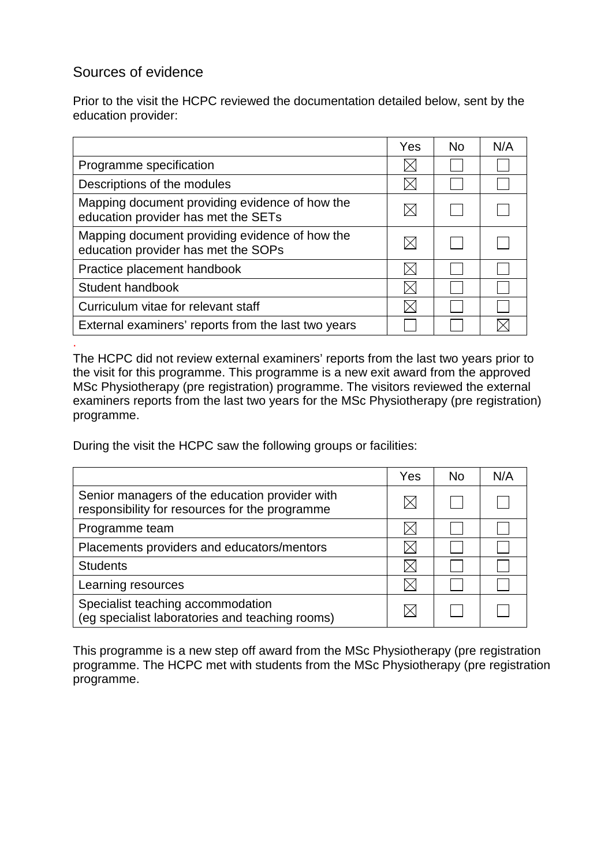### Sources of evidence

.

Prior to the visit the HCPC reviewed the documentation detailed below, sent by the education provider:

|                                                                                       | Yes | <b>No</b> | N/A |
|---------------------------------------------------------------------------------------|-----|-----------|-----|
| Programme specification                                                               |     |           |     |
| Descriptions of the modules                                                           |     |           |     |
| Mapping document providing evidence of how the<br>education provider has met the SETs |     |           |     |
| Mapping document providing evidence of how the<br>education provider has met the SOPs |     |           |     |
| Practice placement handbook                                                           |     |           |     |
| Student handbook                                                                      |     |           |     |
| Curriculum vitae for relevant staff                                                   |     |           |     |
| External examiners' reports from the last two years                                   |     |           |     |

The HCPC did not review external examiners' reports from the last two years prior to the visit for this programme. This programme is a new exit award from the approved MSc Physiotherapy (pre registration) programme. The visitors reviewed the external examiners reports from the last two years for the MSc Physiotherapy (pre registration) programme.

During the visit the HCPC saw the following groups or facilities:

|                                                                                                  | Yes | <b>No</b> | N/A |
|--------------------------------------------------------------------------------------------------|-----|-----------|-----|
| Senior managers of the education provider with<br>responsibility for resources for the programme |     |           |     |
| Programme team                                                                                   |     |           |     |
| Placements providers and educators/mentors                                                       |     |           |     |
| <b>Students</b>                                                                                  |     |           |     |
| Learning resources                                                                               |     |           |     |
| Specialist teaching accommodation<br>(eg specialist laboratories and teaching rooms)             |     |           |     |

This programme is a new step off award from the MSc Physiotherapy (pre registration programme. The HCPC met with students from the MSc Physiotherapy (pre registration programme.